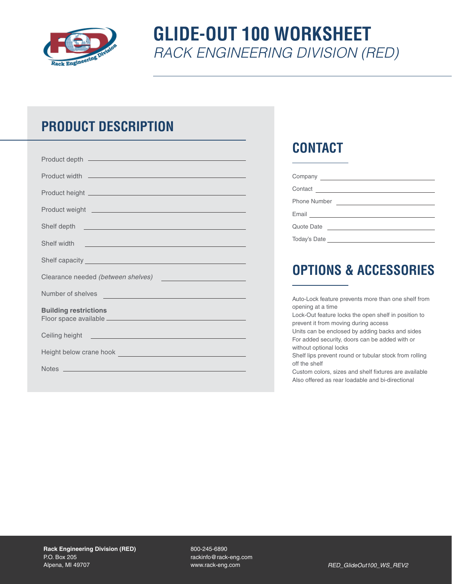

## **GLIDE-OUT 100 WORKSHEET** *RACK ENGINEERING DIVISION (RED)*

### **PRODUCT DESCRIPTION**

| Shelf width <b>with the contract of the contract of the contract of the contract of the contract of the contract of the contract of the contract of the contract of the contract of the contract of the contract of the contract</b> |  |  |
|--------------------------------------------------------------------------------------------------------------------------------------------------------------------------------------------------------------------------------------|--|--|
|                                                                                                                                                                                                                                      |  |  |
| Clearance needed (between shelves)                                                                                                                                                                                                   |  |  |
| Number of shelves <b>with a contract of the contract of the contract of the contract of the contract of the contract of the contract of the contract of the contract of the contract of the contract of the contract of the cont</b> |  |  |
| <b>Building restrictions</b>                                                                                                                                                                                                         |  |  |
| Ceiling height <b>contained a state of the contact of the contact of the contact of the contact of the contact of the contact of the contact of the contact of the contact of the contact of the contact of the contact of the c</b> |  |  |
| Height below crane hook <b>with a state of the state of the state of the state of the state of the state of the state of the state of the state of the state of the state of the state of the state of the state of the state of</b> |  |  |
| Notes experiences and the second contract of the second contract of the second contract of the second contract of the second contract of the second contract of the second contract of the second contract of the second contr       |  |  |

#### **CONTACT**

| Phone Number | <u> Alexandria (Carlo Carlo)</u>                                                                                      |
|--------------|-----------------------------------------------------------------------------------------------------------------------|
| Email        | <u> 1989 - John Stein, Amerikaansk politiker (</u>                                                                    |
| Quote Date   | <u> 1989 - Andrea State Barbara, política e a provincia de la provincia de la provincia de la provincia de la pro</u> |
| Today's Date |                                                                                                                       |

### **OPTIONS & ACCESSORIES**

Auto-Lock feature prevents more than one shelf from opening at a time Lock-Out feature locks the open shelf in position to prevent it from moving during access Units can be enclosed by adding backs and sides For added security, doors can be added with or without optional locks Shelf lips prevent round or tubular stock from rolling off the shelf Custom colors, sizes and shelf fixtures are available Also offered as rear loadable and bi-directional

800-245-6890 rackinfo@rack-eng.com www.rack-eng.com